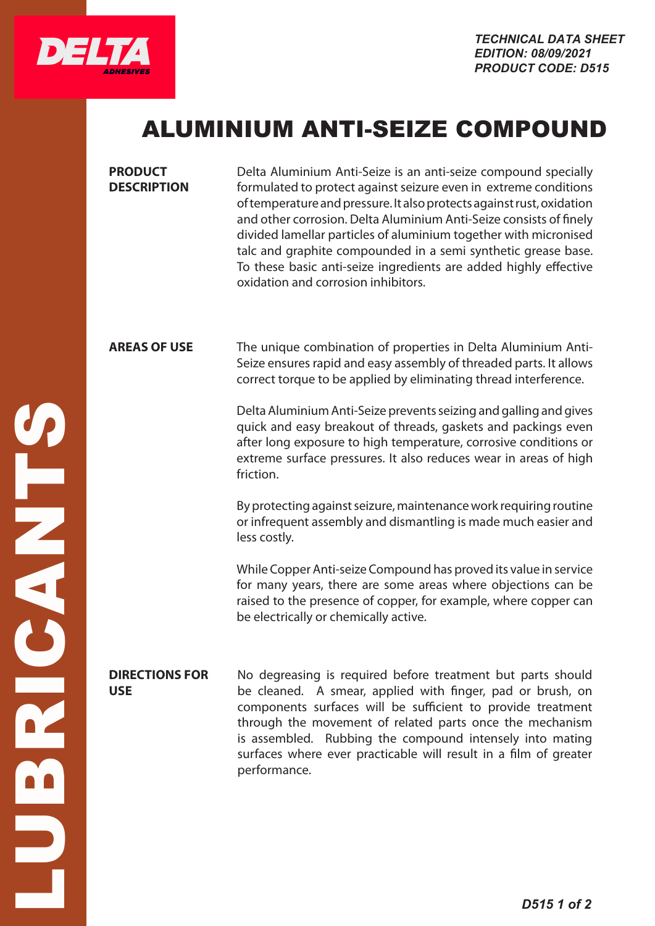

## ALUMINIUM ANTI-SEIZE COMPOUND

| Delta Aluminium Anti-Seize is an anti-seize compound specially<br>formulated to protect against seizure even in extreme conditions<br>of temperature and pressure. It also protects against rust, oxidation<br>and other corrosion. Delta Aluminium Anti-Seize consists of finely<br>divided lamellar particles of aluminium together with micronised<br>talc and graphite compounded in a semi synthetic grease base.<br>To these basic anti-seize ingredients are added highly effective<br>oxidation and corrosion inhibitors. |
|-----------------------------------------------------------------------------------------------------------------------------------------------------------------------------------------------------------------------------------------------------------------------------------------------------------------------------------------------------------------------------------------------------------------------------------------------------------------------------------------------------------------------------------|
| The unique combination of properties in Delta Aluminium Anti-<br>Seize ensures rapid and easy assembly of threaded parts. It allows<br>correct torque to be applied by eliminating thread interference.                                                                                                                                                                                                                                                                                                                           |
| Delta Aluminium Anti-Seize prevents seizing and galling and gives<br>quick and easy breakout of threads, gaskets and packings even<br>after long exposure to high temperature, corrosive conditions or<br>extreme surface pressures. It also reduces wear in areas of high<br>friction.                                                                                                                                                                                                                                           |
| By protecting against seizure, maintenance work requiring routine<br>or infrequent assembly and dismantling is made much easier and<br>less costly.                                                                                                                                                                                                                                                                                                                                                                               |
| While Copper Anti-seize Compound has proved its value in service<br>for many years, there are some areas where objections can be<br>raised to the presence of copper, for example, where copper can<br>be electrically or chemically active.                                                                                                                                                                                                                                                                                      |
| No degreasing is required before treatment but parts should<br>be cleaned. A smear, applied with finger, pad or brush, on<br>components surfaces will be sufficient to provide treatment<br>through the movement of related parts once the mechanism<br>is assembled. Rubbing the compound intensely into mating<br>surfaces where ever practicable will result in a film of greater<br>performance.                                                                                                                              |
|                                                                                                                                                                                                                                                                                                                                                                                                                                                                                                                                   |